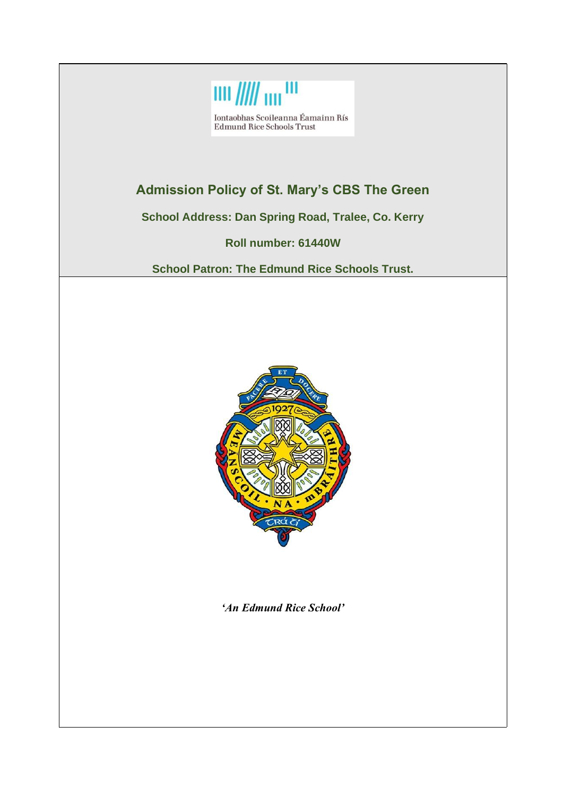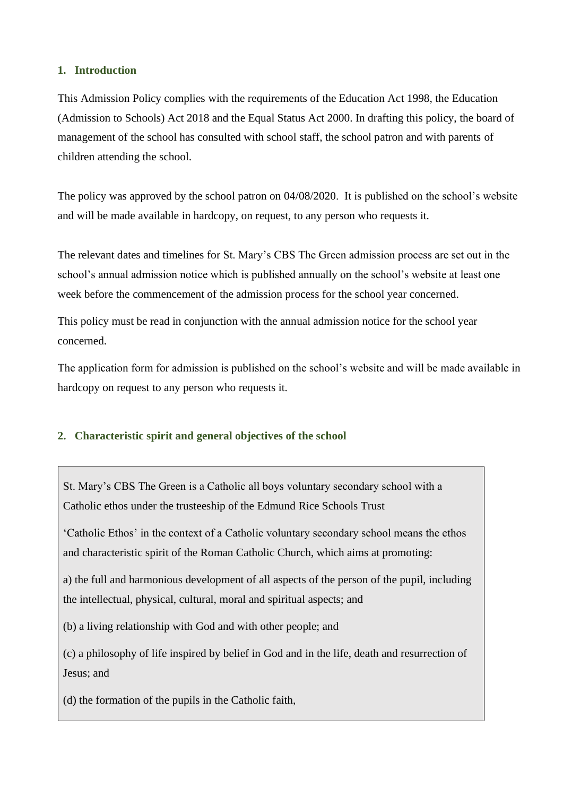### **1. Introduction**

This Admission Policy complies with the requirements of the Education Act 1998, the Education (Admission to Schools) Act 2018 and the Equal Status Act 2000. In drafting this policy, the board of management of the school has consulted with school staff, the school patron and with parents of children attending the school.

The policy was approved by the school patron on 04/08/2020. It is published on the school's website and will be made available in hardcopy, on request, to any person who requests it.

The relevant dates and timelines for St. Mary's CBS The Green admission process are set out in the school's annual admission notice which is published annually on the school's website at least one week before the commencement of the admission process for the school year concerned.

This policy must be read in conjunction with the annual admission notice for the school year concerned.

The application form for admission is published on the school's website and will be made available in hardcopy on request to any person who requests it.

### **2. Characteristic spirit and general objectives of the school**

St. Mary's CBS The Green is a Catholic all boys voluntary secondary school with a Catholic ethos under the trusteeship of the Edmund Rice Schools Trust

'Catholic Ethos' in the context of a Catholic voluntary secondary school means the ethos and characteristic spirit of the Roman Catholic Church, which aims at promoting:

a) the full and harmonious development of all aspects of the person of the pupil, including the intellectual, physical, cultural, moral and spiritual aspects; and

(b) a living relationship with God and with other people; and

(c) a philosophy of life inspired by belief in God and in the life, death and resurrection of Jesus; and

(d) the formation of the pupils in the Catholic faith,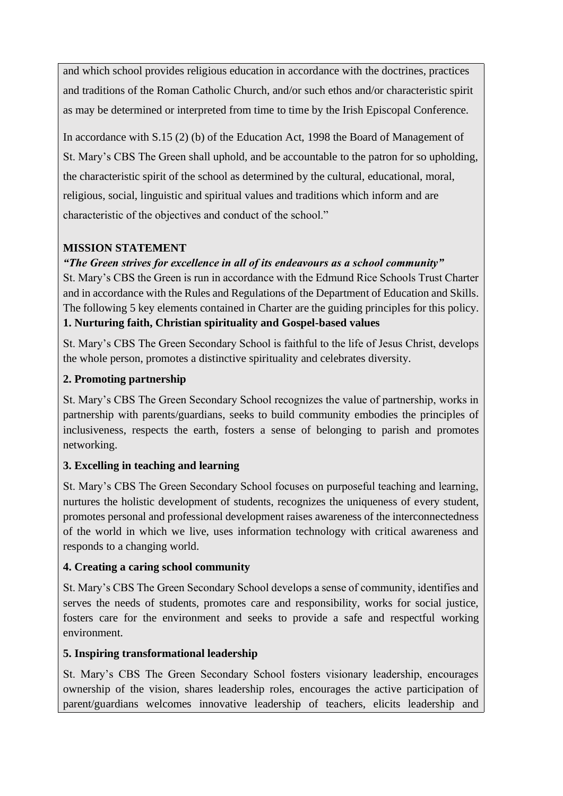and which school provides religious education in accordance with the doctrines, practices and traditions of the Roman Catholic Church, and/or such ethos and/or characteristic spirit as may be determined or interpreted from time to time by the Irish Episcopal Conference.

In accordance with S.15 (2) (b) of the Education Act, 1998 the Board of Management of St. Mary's CBS The Green shall uphold, and be accountable to the patron for so upholding, the characteristic spirit of the school as determined by the cultural, educational, moral, religious, social, linguistic and spiritual values and traditions which inform and are characteristic of the objectives and conduct of the school."

# **MISSION STATEMENT**

# *"The Green strives for excellence in all of its endeavours as a school community"*

St. Mary's CBS the Green is run in accordance with the Edmund Rice Schools Trust Charter and in accordance with the Rules and Regulations of the Department of Education and Skills. The following 5 key elements contained in Charter are the guiding principles for this policy. **1. Nurturing faith, Christian spirituality and Gospel-based values**

St. Mary's CBS The Green Secondary School is faithful to the life of Jesus Christ, develops the whole person, promotes a distinctive spirituality and celebrates diversity.

# **2. Promoting partnership**

St. Mary's CBS The Green Secondary School recognizes the value of partnership, works in partnership with parents/guardians, seeks to build community embodies the principles of inclusiveness, respects the earth, fosters a sense of belonging to parish and promotes networking.

# **3. Excelling in teaching and learning**

St. Mary's CBS The Green Secondary School focuses on purposeful teaching and learning, nurtures the holistic development of students, recognizes the uniqueness of every student, promotes personal and professional development raises awareness of the interconnectedness of the world in which we live, uses information technology with critical awareness and responds to a changing world.

# **4. Creating a caring school community**

St. Mary's CBS The Green Secondary School develops a sense of community, identifies and serves the needs of students, promotes care and responsibility, works for social justice, fosters care for the environment and seeks to provide a safe and respectful working environment.

# **5. Inspiring transformational leadership**

St. Mary's CBS The Green Secondary School fosters visionary leadership, encourages ownership of the vision, shares leadership roles, encourages the active participation of parent/guardians welcomes innovative leadership of teachers, elicits leadership and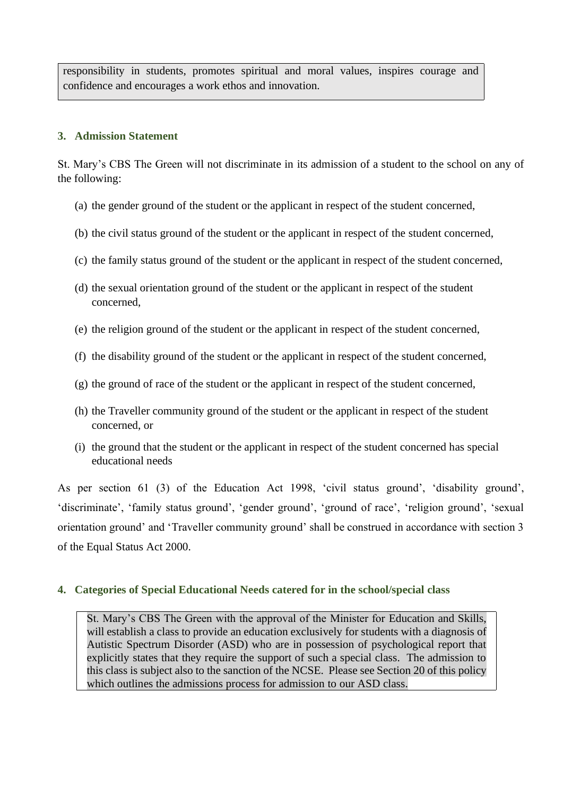responsibility in students, promotes spiritual and moral values, inspires courage and confidence and encourages a work ethos and innovation.

### **3. Admission Statement**

St. Mary's CBS The Green will not discriminate in its admission of a student to the school on any of the following:

- (a) the gender ground of the student or the applicant in respect of the student concerned,
- (b) the civil status ground of the student or the applicant in respect of the student concerned,
- (c) the family status ground of the student or the applicant in respect of the student concerned,
- (d) the sexual orientation ground of the student or the applicant in respect of the student concerned,
- (e) the religion ground of the student or the applicant in respect of the student concerned,
- (f) the disability ground of the student or the applicant in respect of the student concerned,
- (g) the ground of race of the student or the applicant in respect of the student concerned,
- (h) the Traveller community ground of the student or the applicant in respect of the student concerned, or
- (i) the ground that the student or the applicant in respect of the student concerned has special educational needs

As per section 61 (3) of the Education Act 1998, 'civil status ground', 'disability ground', 'discriminate', 'family status ground', 'gender ground', 'ground of race', 'religion ground', 'sexual orientation ground' and 'Traveller community ground' shall be construed in accordance with section 3 of the Equal Status Act 2000.

# **4. Categories of Special Educational Needs catered for in the school/special class**

St. Mary's CBS The Green with the approval of the Minister for Education and Skills, will establish a class to provide an education exclusively for students with a diagnosis of Autistic Spectrum Disorder (ASD) who are in possession of psychological report that explicitly states that they require the support of such a special class. The admission to this class is subject also to the sanction of the NCSE. Please see Section 20 of this policy which outlines the admissions process for admission to our ASD class.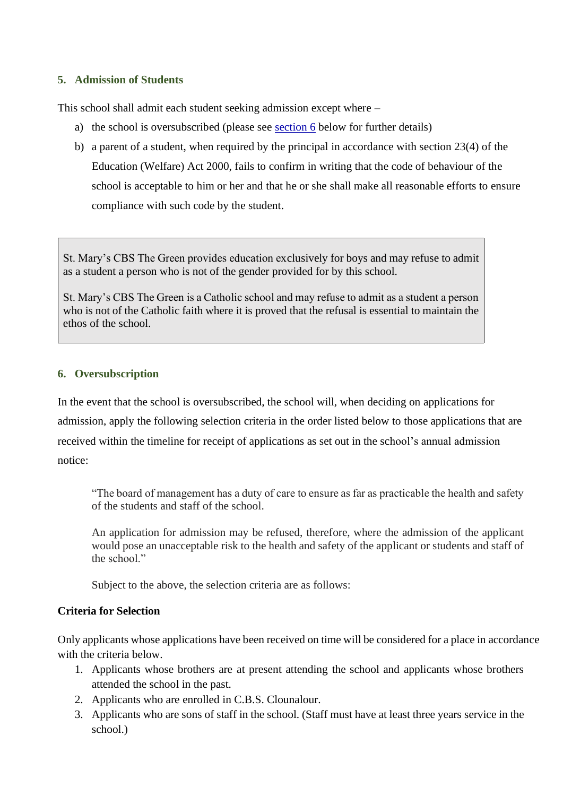#### **5. Admission of Students**

This school shall admit each student seeking admission except where –

- a) the school is oversubscribed (please see section 6 below for further details)
- b) a parent of a student, when required by the principal in accordance with section 23(4) of the Education (Welfare) Act 2000, fails to confirm in writing that the code of behaviour of the school is acceptable to him or her and that he or she shall make all reasonable efforts to ensure compliance with such code by the student.

St. Mary's CBS The Green provides education exclusively for boys and may refuse to admit as a student a person who is not of the gender provided for by this school.

St. Mary's CBS The Green is a Catholic school and may refuse to admit as a student a person who is not of the Catholic faith where it is proved that the refusal is essential to maintain the ethos of the school.

#### **6. Oversubscription**

In the event that the school is oversubscribed, the school will, when deciding on applications for admission, apply the following selection criteria in the order listed below to those applications that are received within the timeline for receipt of applications as set out in the school's annual admission notice:

"The board of management has a duty of care to ensure as far as practicable the health and safety of the students and staff of the school.

An application for admission may be refused, therefore, where the admission of the applicant would pose an unacceptable risk to the health and safety of the applicant or students and staff of the school."

Subject to the above, the selection criteria are as follows:

### **Criteria for Selection**

Only applicants whose applications have been received on time will be considered for a place in accordance with the criteria below.

- 1. Applicants whose brothers are at present attending the school and applicants whose brothers attended the school in the past.
- 2. Applicants who are enrolled in C.B.S. Clounalour.
- 3. Applicants who are sons of staff in the school. (Staff must have at least three years service in the school.)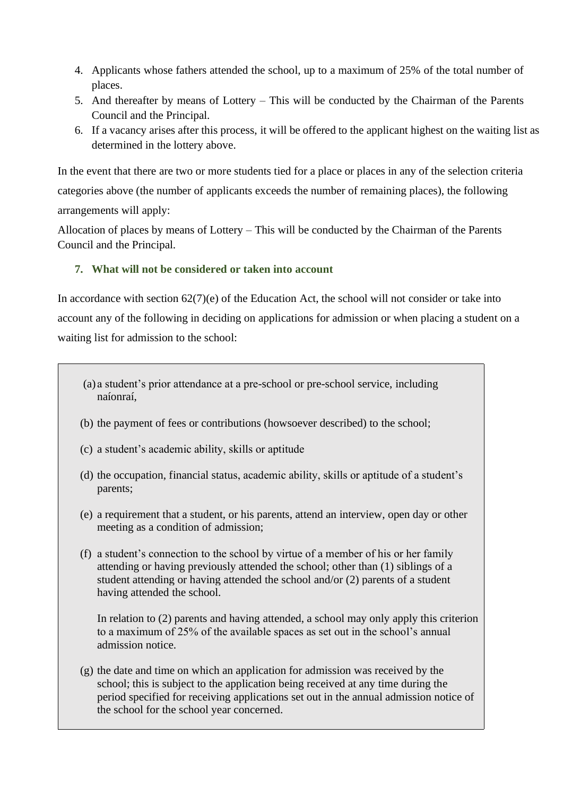- 4. Applicants whose fathers attended the school, up to a maximum of 25% of the total number of places.
- 5. And thereafter by means of Lottery This will be conducted by the Chairman of the Parents Council and the Principal.
- 6. If a vacancy arises after this process, it will be offered to the applicant highest on the waiting list as determined in the lottery above.

In the event that there are two or more students tied for a place or places in any of the selection criteria categories above (the number of applicants exceeds the number of remaining places), the following arrangements will apply:

Allocation of places by means of Lottery – This will be conducted by the Chairman of the Parents Council and the Principal.

## **7. What will not be considered or taken into account**

In accordance with section 62(7)(e) of the Education Act, the school will not consider or take into account any of the following in deciding on applications for admission or when placing a student on a waiting list for admission to the school:

- (a) a student's prior attendance at a pre-school or pre-school service, including naíonraí,
- (b) the payment of fees or contributions (howsoever described) to the school;
- (c) a student's academic ability, skills or aptitude
- (d) the occupation, financial status, academic ability, skills or aptitude of a student's parents;
- (e) a requirement that a student, or his parents, attend an interview, open day or other meeting as a condition of admission;
- (f) a student's connection to the school by virtue of a member of his or her family attending or having previously attended the school; other than (1) siblings of a student attending or having attended the school and/or (2) parents of a student having attended the school.

In relation to (2) parents and having attended, a school may only apply this criterion to a maximum of 25% of the available spaces as set out in the school's annual admission notice.

(g) the date and time on which an application for admission was received by the school; this is subject to the application being received at any time during the period specified for receiving applications set out in the annual admission notice of the school for the school year concerned.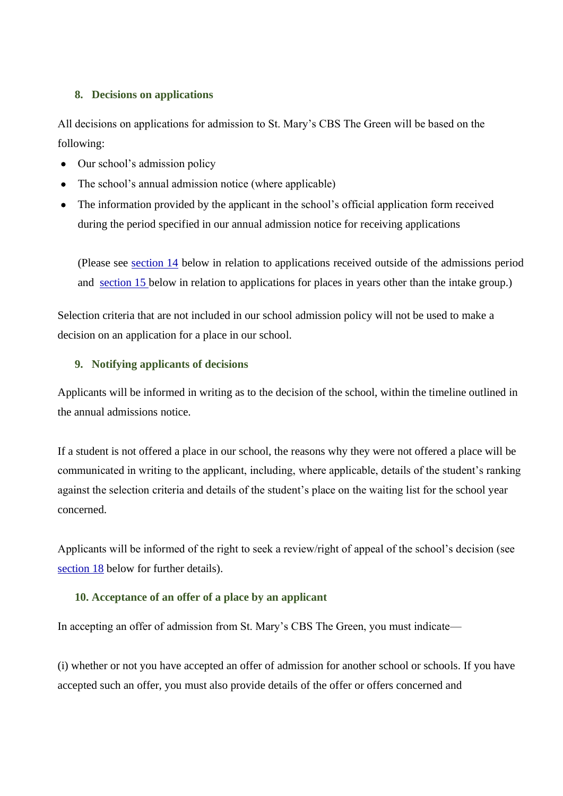#### **8. Decisions on applications**

All decisions on applications for admission to St. Mary's CBS The Green will be based on the following:

- Our school's admission policy
- The school's annual admission notice (where applicable)
- The information provided by the applicant in the school's official application form received during the period specified in our annual admission notice for receiving applications

(Please see section 14 below in relation to applications received outside of the admissions period and section 15 below in relation to applications for places in years other than the intake group.)

Selection criteria that are not included in our school admission policy will not be used to make a decision on an application for a place in our school.

#### **9. Notifying applicants of decisions**

Applicants will be informed in writing as to the decision of the school, within the timeline outlined in the annual admissions notice.

If a student is not offered a place in our school, the reasons why they were not offered a place will be communicated in writing to the applicant, including, where applicable, details of the student's ranking against the selection criteria and details of the student's place on the waiting list for the school year concerned.

Applicants will be informed of the right to seek a review/right of appeal of the school's decision (see section 18 below for further details).

### **10. Acceptance of an offer of a place by an applicant**

In accepting an offer of admission from St. Mary's CBS The Green, you must indicate—

(i) whether or not you have accepted an offer of admission for another school or schools. If you have accepted such an offer, you must also provide details of the offer or offers concerned and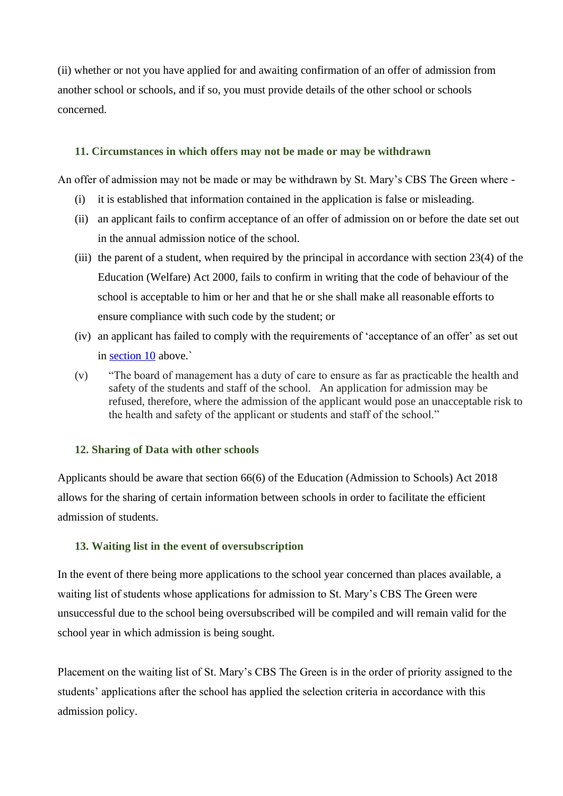(ii) whether or not you have applied for and awaiting confirmation of an offer of admission from another school or schools, and if so, you must provide details of the other school or schools concerned.

#### **11. Circumstances in which offers may not be made or may be withdrawn**

An offer of admission may not be made or may be withdrawn by St. Mary's CBS The Green where -

- (i) it is established that information contained in the application is false or misleading.
- (ii) an applicant fails to confirm acceptance of an offer of admission on or before the date set out in the annual admission notice of the school.
- (iii) the parent of a student, when required by the principal in accordance with section 23(4) of the Education (Welfare) Act 2000, fails to confirm in writing that the code of behaviour of the school is acceptable to him or her and that he or she shall make all reasonable efforts to ensure compliance with such code by the student; or
- (iv) an applicant has failed to comply with the requirements of 'acceptance of an offer' as set out in section 10 above.`
- (v) "The board of management has a duty of care to ensure as far as practicable the health and safety of the students and staff of the school. An application for admission may be refused, therefore, where the admission of the applicant would pose an unacceptable risk to the health and safety of the applicant or students and staff of the school."

### **12. Sharing of Data with other schools**

Applicants should be aware that section 66(6) of the Education (Admission to Schools) Act 2018 allows for the sharing of certain information between schools in order to facilitate the efficient admission of students.

### **13. Waiting list in the event of oversubscription**

In the event of there being more applications to the school year concerned than places available, a waiting list of students whose applications for admission to St. Mary's CBS The Green were unsuccessful due to the school being oversubscribed will be compiled and will remain valid for the school year in which admission is being sought.

Placement on the waiting list of St. Mary's CBS The Green is in the order of priority assigned to the students' applications after the school has applied the selection criteria in accordance with this admission policy.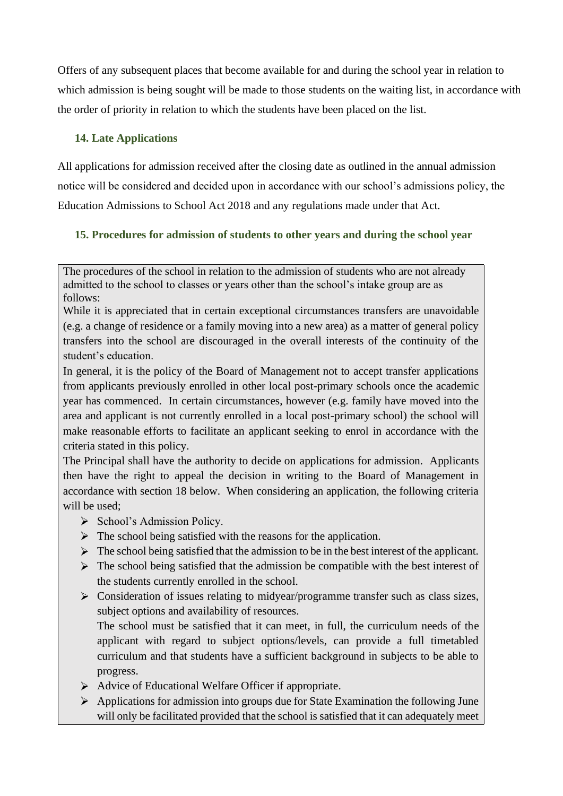Offers of any subsequent places that become available for and during the school year in relation to which admission is being sought will be made to those students on the waiting list, in accordance with the order of priority in relation to which the students have been placed on the list.

## **14. Late Applications**

All applications for admission received after the closing date as outlined in the annual admission notice will be considered and decided upon in accordance with our school's admissions policy, the Education Admissions to School Act 2018 and any regulations made under that Act.

# **15. Procedures for admission of students to other years and during the school year**

While it is appreciated that in certain exceptional circumstances transfers are unavoidable (e.g. a change of residence or a family moving into a new area) as a matter of general policy transfers into the school are discouraged in the overall interests of the continuity of the student's education.

In general, it is the policy of the Board of Management not to accept transfer applications from applicants previously enrolled in other local post-primary schools once the academic year has commenced. In certain circumstances, however (e.g. family have moved into the area and applicant is not currently enrolled in a local post-primary school) the school will make reasonable efforts to facilitate an applicant seeking to enrol in accordance with the criteria stated in this policy.

The Principal shall have the authority to decide on applications for admission. Applicants then have the right to appeal the decision in writing to the Board of Management in accordance with section 18 below. When considering an application, the following criteria will be used;

- $\triangleright$  School's Admission Policy.
- $\triangleright$  The school being satisfied with the reasons for the application.
- $\triangleright$  The school being satisfied that the admission to be in the best interest of the applicant.
- $\triangleright$  The school being satisfied that the admission be compatible with the best interest of the students currently enrolled in the school.
- $\triangleright$  Consideration of issues relating to midyear/programme transfer such as class sizes, subject options and availability of resources.

The school must be satisfied that it can meet, in full, the curriculum needs of the applicant with regard to subject options/levels, can provide a full timetabled curriculum and that students have a sufficient background in subjects to be able to progress.

- Advice of Educational Welfare Officer if appropriate.
- $\triangleright$  Applications for admission into groups due for State Examination the following June will only be facilitated provided that the school is satisfied that it can adequately meet

The procedures of the school in relation to the admission of students who are not already admitted to the school to classes or years other than the school's intake group are as follows: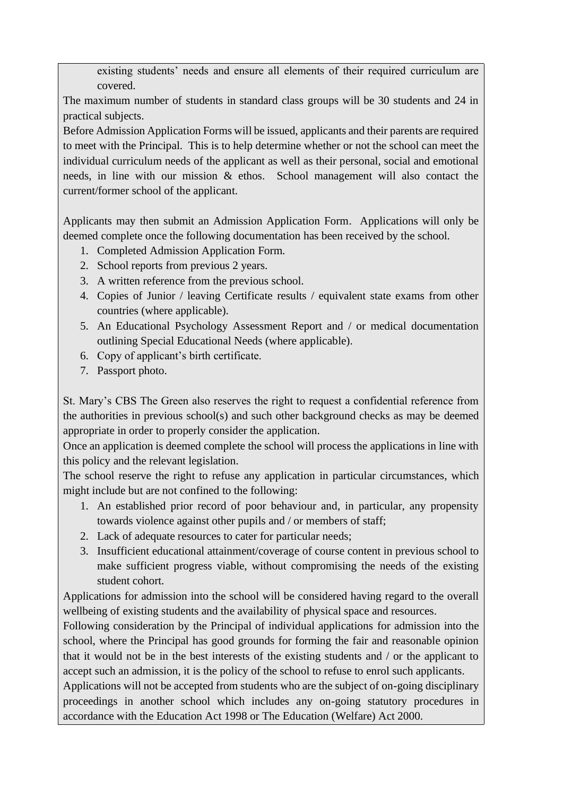existing students' needs and ensure all elements of their required curriculum are covered.

The maximum number of students in standard class groups will be 30 students and 24 in practical subjects.

Before Admission Application Forms will be issued, applicants and their parents are required to meet with the Principal. This is to help determine whether or not the school can meet the individual curriculum needs of the applicant as well as their personal, social and emotional needs, in line with our mission & ethos. School management will also contact the current/former school of the applicant.

Applicants may then submit an Admission Application Form. Applications will only be deemed complete once the following documentation has been received by the school.

- 1. Completed Admission Application Form.
- 2. School reports from previous 2 years.
- 3. A written reference from the previous school.
- 4. Copies of Junior / leaving Certificate results / equivalent state exams from other countries (where applicable).
- 5. An Educational Psychology Assessment Report and / or medical documentation outlining Special Educational Needs (where applicable).
- 6. Copy of applicant's birth certificate.
- 7. Passport photo.

St. Mary's CBS The Green also reserves the right to request a confidential reference from the authorities in previous school(s) and such other background checks as may be deemed appropriate in order to properly consider the application.

Once an application is deemed complete the school will process the applications in line with this policy and the relevant legislation.

The school reserve the right to refuse any application in particular circumstances, which might include but are not confined to the following:

- 1. An established prior record of poor behaviour and, in particular, any propensity towards violence against other pupils and / or members of staff;
- 2. Lack of adequate resources to cater for particular needs;
- 3. Insufficient educational attainment/coverage of course content in previous school to make sufficient progress viable, without compromising the needs of the existing student cohort.

Applications for admission into the school will be considered having regard to the overall wellbeing of existing students and the availability of physical space and resources.

Following consideration by the Principal of individual applications for admission into the school, where the Principal has good grounds for forming the fair and reasonable opinion that it would not be in the best interests of the existing students and / or the applicant to accept such an admission, it is the policy of the school to refuse to enrol such applicants.

Applications will not be accepted from students who are the subject of on-going disciplinary proceedings in another school which includes any on-going statutory procedures in accordance with the Education Act 1998 or The Education (Welfare) Act 2000.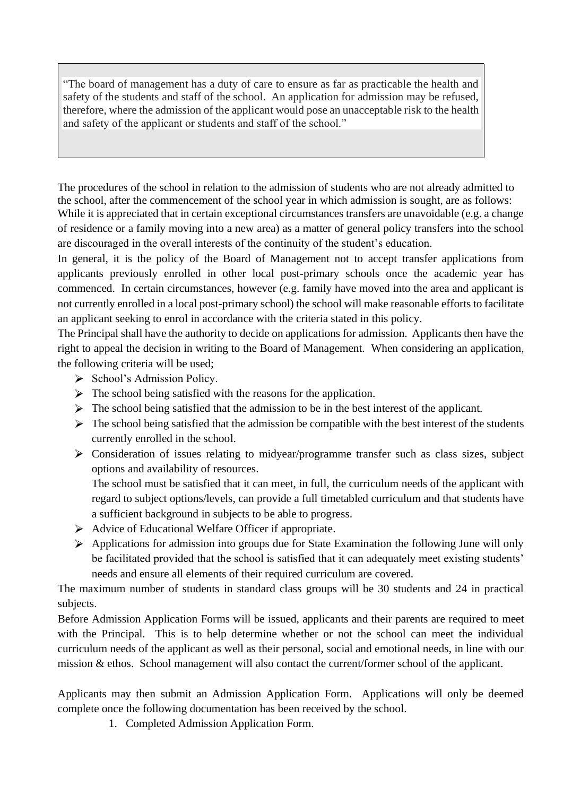"The board of management has a duty of care to ensure as far as practicable the health and safety of the students and staff of the school. An application for admission may be refused, therefore, where the admission of the applicant would pose an unacceptable risk to the health and safety of the applicant or students and staff of the school."

The procedures of the school in relation to the admission of students who are not already admitted to the school, after the commencement of the school year in which admission is sought, are as follows: While it is appreciated that in certain exceptional circumstances transfers are unavoidable (e.g. a change of residence or a family moving into a new area) as a matter of general policy transfers into the school

are discouraged in the overall interests of the continuity of the student's education. In general, it is the policy of the Board of Management not to accept transfer applications from applicants previously enrolled in other local post-primary schools once the academic year has commenced. In certain circumstances, however (e.g. family have moved into the area and applicant is not currently enrolled in a local post-primary school) the school will make reasonable efforts to facilitate an applicant seeking to enrol in accordance with the criteria stated in this policy.

The Principal shall have the authority to decide on applications for admission. Applicants then have the right to appeal the decision in writing to the Board of Management. When considering an application, the following criteria will be used;

- $\triangleright$  School's Admission Policy.
- $\triangleright$  The school being satisfied with the reasons for the application.
- $\triangleright$  The school being satisfied that the admission to be in the best interest of the applicant.
- $\triangleright$  The school being satisfied that the admission be compatible with the best interest of the students currently enrolled in the school.
- Consideration of issues relating to midyear/programme transfer such as class sizes, subject options and availability of resources.

The school must be satisfied that it can meet, in full, the curriculum needs of the applicant with regard to subject options/levels, can provide a full timetabled curriculum and that students have a sufficient background in subjects to be able to progress.

- $\triangleright$  Advice of Educational Welfare Officer if appropriate.
- $\triangleright$  Applications for admission into groups due for State Examination the following June will only be facilitated provided that the school is satisfied that it can adequately meet existing students' needs and ensure all elements of their required curriculum are covered.

The maximum number of students in standard class groups will be 30 students and 24 in practical subjects.

Before Admission Application Forms will be issued, applicants and their parents are required to meet with the Principal. This is to help determine whether or not the school can meet the individual curriculum needs of the applicant as well as their personal, social and emotional needs, in line with our mission & ethos. School management will also contact the current/former school of the applicant.

Applicants may then submit an Admission Application Form. Applications will only be deemed complete once the following documentation has been received by the school.

1. Completed Admission Application Form.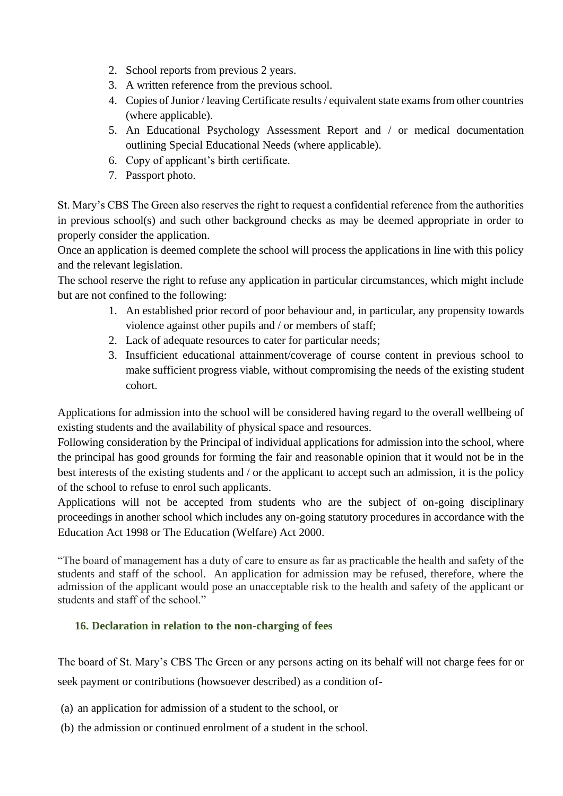- 2. School reports from previous 2 years.
- 3. A written reference from the previous school.
- 4. Copies of Junior / leaving Certificate results / equivalent state exams from other countries (where applicable).
- 5. An Educational Psychology Assessment Report and / or medical documentation outlining Special Educational Needs (where applicable).
- 6. Copy of applicant's birth certificate.
- 7. Passport photo.

St. Mary's CBS The Green also reserves the right to request a confidential reference from the authorities in previous school(s) and such other background checks as may be deemed appropriate in order to properly consider the application.

Once an application is deemed complete the school will process the applications in line with this policy and the relevant legislation.

The school reserve the right to refuse any application in particular circumstances, which might include but are not confined to the following:

- 1. An established prior record of poor behaviour and, in particular, any propensity towards violence against other pupils and / or members of staff;
- 2. Lack of adequate resources to cater for particular needs;
- 3. Insufficient educational attainment/coverage of course content in previous school to make sufficient progress viable, without compromising the needs of the existing student cohort.

Applications for admission into the school will be considered having regard to the overall wellbeing of existing students and the availability of physical space and resources.

Following consideration by the Principal of individual applications for admission into the school, where the principal has good grounds for forming the fair and reasonable opinion that it would not be in the best interests of the existing students and / or the applicant to accept such an admission, it is the policy of the school to refuse to enrol such applicants.

Applications will not be accepted from students who are the subject of on-going disciplinary proceedings in another school which includes any on-going statutory procedures in accordance with the Education Act 1998 or The Education (Welfare) Act 2000.

"The board of management has a duty of care to ensure as far as practicable the health and safety of the students and staff of the school. An application for admission may be refused, therefore, where the admission of the applicant would pose an unacceptable risk to the health and safety of the applicant or students and staff of the school."

# **16. Declaration in relation to the non-charging of fees**

The board of St. Mary's CBS The Green or any persons acting on its behalf will not charge fees for or seek payment or contributions (howsoever described) as a condition of-

- (a) an application for admission of a student to the school, or
- (b) the admission or continued enrolment of a student in the school.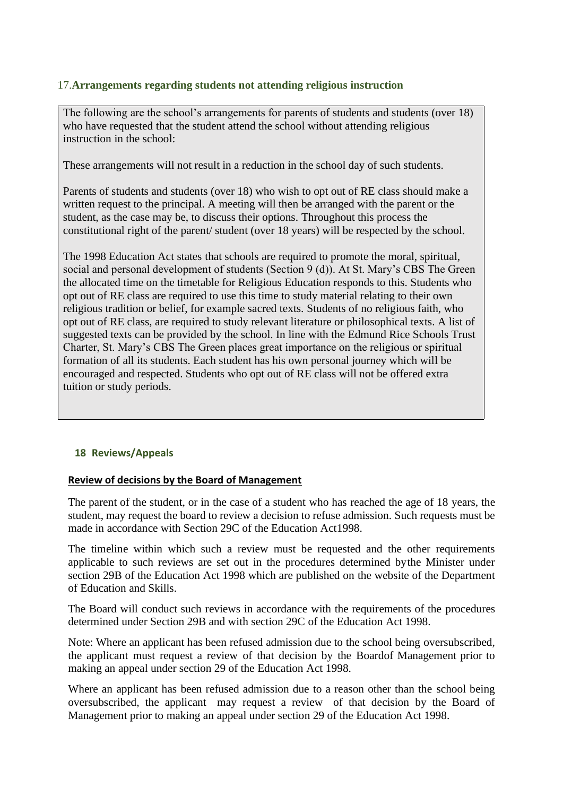#### 17.**Arrangements regarding students not attending religious instruction**

The following are the school's arrangements for parents of students and students (over 18) who have requested that the student attend the school without attending religious instruction in the school:

These arrangements will not result in a reduction in the school day of such students.

Parents of students and students (over 18) who wish to opt out of RE class should make a written request to the principal. A meeting will then be arranged with the parent or the student, as the case may be, to discuss their options. Throughout this process the constitutional right of the parent/ student (over 18 years) will be respected by the school.

The 1998 Education Act states that schools are required to promote the moral, spiritual, social and personal development of students (Section 9 (d)). At St. Mary's CBS The Green the allocated time on the timetable for Religious Education responds to this. Students who opt out of RE class are required to use this time to study material relating to their own religious tradition or belief, for example sacred texts. Students of no religious faith, who opt out of RE class, are required to study relevant literature or philosophical texts. A list of suggested texts can be provided by the school. In line with the Edmund Rice Schools Trust Charter, St. Mary's CBS The Green places great importance on the religious or spiritual formation of all its students. Each student has his own personal journey which will be encouraged and respected. Students who opt out of RE class will not be offered extra tuition or study periods.

#### **18 Reviews/Appeals**

#### **Review of decisions by the Board of Management**

The parent of the student, or in the case of a student who has reached the age of 18 years, the student, may request the board to review a decision to refuse admission. Such requests must be made in accordance with Section 29C of the Education Act1998.

The timeline within which such a review must be requested and the other requirements applicable to such reviews are set out in the procedures determined bythe Minister under section 29B of the Education Act 1998 which are published on the website of the Department of Education and Skills.

The Board will conduct such reviews in accordance with the requirements of the procedures determined under Section 29B and with section 29C of the Education Act 1998.

Note: Where an applicant has been refused admission due to the school being oversubscribed, the applicant must request a review of that decision by the Boardof Management prior to making an appeal under section 29 of the Education Act 1998.

Where an applicant has been refused admission due to a reason other than the school being oversubscribed, the applicant may request a review of that decision by the Board of Management prior to making an appeal under section 29 of the Education Act 1998.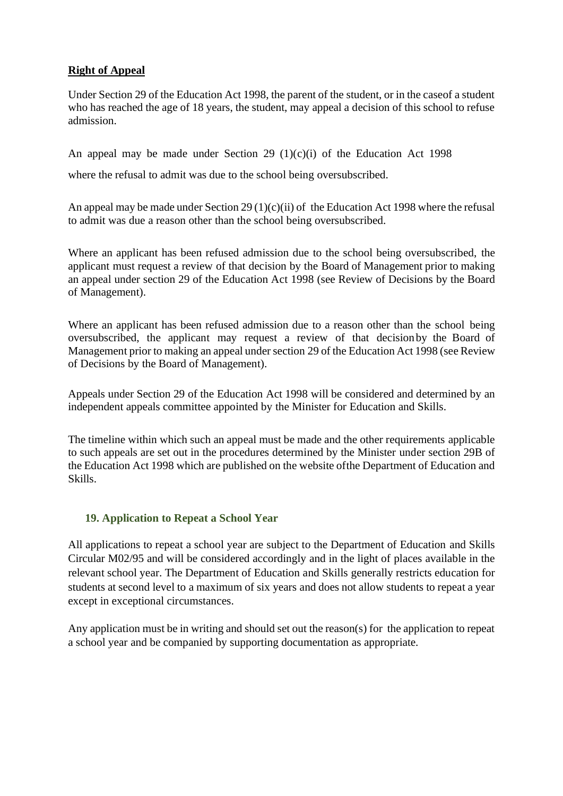# **Right of Appeal**

Under Section 29 of the Education Act 1998, the parent of the student, or in the caseof a student who has reached the age of 18 years, the student, may appeal a decision of this school to refuse admission.

An appeal may be made under Section 29 (1)(c)(i) of the Education Act 1998

where the refusal to admit was due to the school being oversubscribed.

An appeal may be made under Section 29 (1)(c)(ii) of the Education Act 1998 where the refusal to admit was due a reason other than the school being oversubscribed.

Where an applicant has been refused admission due to the school being oversubscribed, the applicant must request a review of that decision by the Board of Management prior to making an appeal under section 29 of the Education Act 1998 (see Review of Decisions by the Board of Management).

Where an applicant has been refused admission due to a reason other than the school being oversubscribed, the applicant may request a review of that decision by the Board of Management prior to making an appeal under section 29 of the Education Act 1998 (see Review of Decisions by the Board of Management).

Appeals under Section 29 of the Education Act 1998 will be considered and determined by an independent appeals committee appointed by the Minister for Education and Skills.

The timeline within which such an appeal must be made and the other requirements applicable to such appeals are set out in the procedures determined by the Minister under section 29B of the Education Act 1998 which are published on the website ofthe Department of Education and Skills.

### **19. Application to Repeat a School Year**

All applications to repeat a school year are subject to the Department of Education and Skills Circular M02/95 and will be considered accordingly and in the light of places available in the relevant school year. The Department of Education and Skills generally restricts education for students at second level to a maximum of six years and does not allow students to repeat a year except in exceptional circumstances.

Any application must be in writing and should set out the reason(s) for the application to repeat a school year and be companied by supporting documentation as appropriate.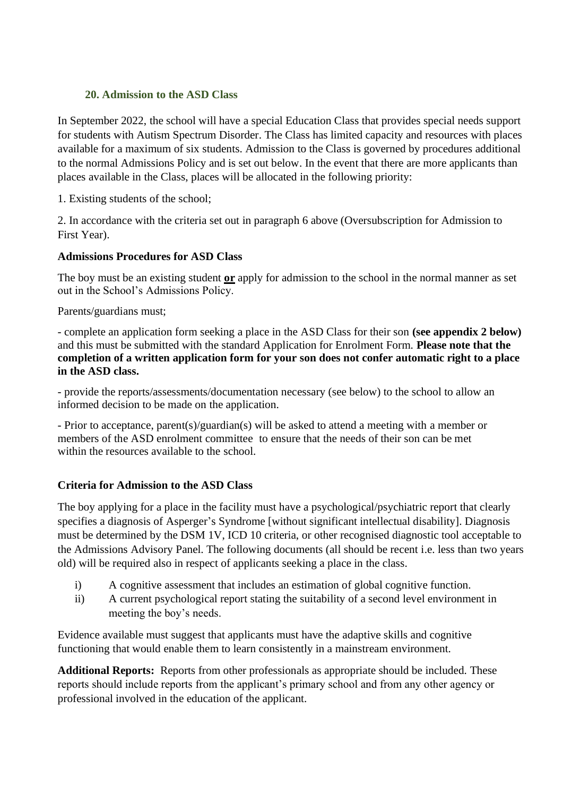### **20. Admission to the ASD Class**

In September 2022, the school will have a special Education Class that provides special needs support for students with Autism Spectrum Disorder. The Class has limited capacity and resources with places available for a maximum of six students. Admission to the Class is governed by procedures additional to the normal Admissions Policy and is set out below. In the event that there are more applicants than places available in the Class, places will be allocated in the following priority:

1. Existing students of the school;

2. In accordance with the criteria set out in paragraph 6 above (Oversubscription for Admission to First Year).

## **Admissions Procedures for ASD Class**

The boy must be an existing student **or** apply for admission to the school in the normal manner as set out in the School's Admissions Policy.

Parents/guardians must;

- complete an application form seeking a place in the ASD Class for their son **(see appendix 2 below)** and this must be submitted with the standard Application for Enrolment Form. **Please note that the completion of a written application form for your son does not confer automatic right to a place in the ASD class.**

- provide the reports/assessments/documentation necessary (see below) to the school to allow an informed decision to be made on the application.

- Prior to acceptance, parent(s)/guardian(s) will be asked to attend a meeting with a member or members of the ASD enrolment committee to ensure that the needs of their son can be met within the resources available to the school.

# **Criteria for Admission to the ASD Class**

The boy applying for a place in the facility must have a psychological/psychiatric report that clearly specifies a diagnosis of Asperger's Syndrome [without significant intellectual disability]. Diagnosis must be determined by the DSM 1V, ICD 10 criteria, or other recognised diagnostic tool acceptable to the Admissions Advisory Panel. The following documents (all should be recent i.e. less than two years old) will be required also in respect of applicants seeking a place in the class.

- i) A cognitive assessment that includes an estimation of global cognitive function.
- ii) A current psychological report stating the suitability of a second level environment in meeting the boy's needs.

Evidence available must suggest that applicants must have the adaptive skills and cognitive functioning that would enable them to learn consistently in a mainstream environment.

**Additional Reports:** Reports from other professionals as appropriate should be included. These reports should include reports from the applicant's primary school and from any other agency or professional involved in the education of the applicant.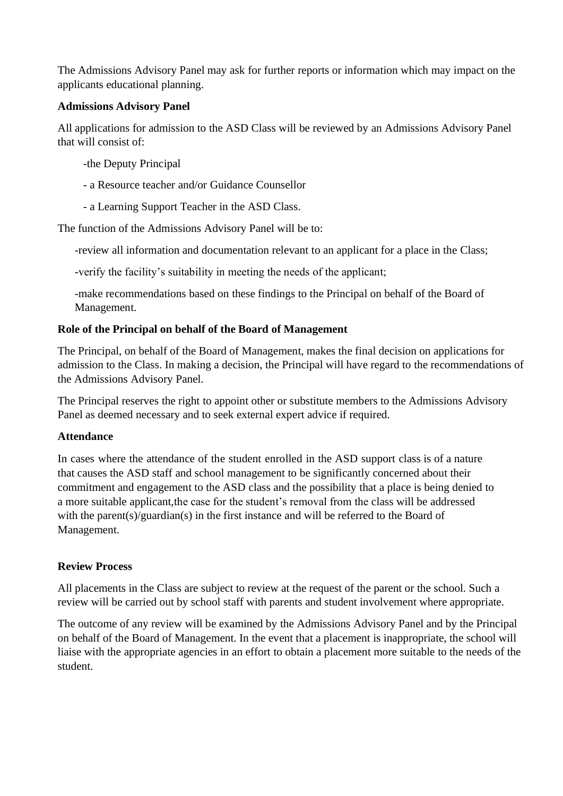The Admissions Advisory Panel may ask for further reports or information which may impact on the applicants educational planning.

### **Admissions Advisory Panel**

All applications for admission to the ASD Class will be reviewed by an Admissions Advisory Panel that will consist of:

-the Deputy Principal

- a Resource teacher and/or Guidance Counsellor
- a Learning Support Teacher in the ASD Class.

The function of the Admissions Advisory Panel will be to:

-review all information and documentation relevant to an applicant for a place in the Class;

-verify the facility's suitability in meeting the needs of the applicant;

-make recommendations based on these findings to the Principal on behalf of the Board of Management.

## **Role of the Principal on behalf of the Board of Management**

The Principal, on behalf of the Board of Management, makes the final decision on applications for admission to the Class. In making a decision, the Principal will have regard to the recommendations of the Admissions Advisory Panel.

The Principal reserves the right to appoint other or substitute members to the Admissions Advisory Panel as deemed necessary and to seek external expert advice if required.

### **Attendance**

In cases where the attendance of the student enrolled in the ASD support class is of a nature that causes the ASD staff and school management to be significantly concerned about their commitment and engagement to the ASD class and the possibility that a place is being denied to a more suitable applicant, the case for the student's removal from the class will be addressed with the parent(s)/guardian(s) in the first instance and will be referred to the Board of Management.

# **Review Process**

All placements in the Class are subject to review at the request of the parent or the school. Such a review will be carried out by school staff with parents and student involvement where appropriate.

The outcome of any review will be examined by the Admissions Advisory Panel and by the Principal on behalf of the Board of Management. In the event that a placement is inappropriate, the school will liaise with the appropriate agencies in an effort to obtain a placement more suitable to the needs of the student.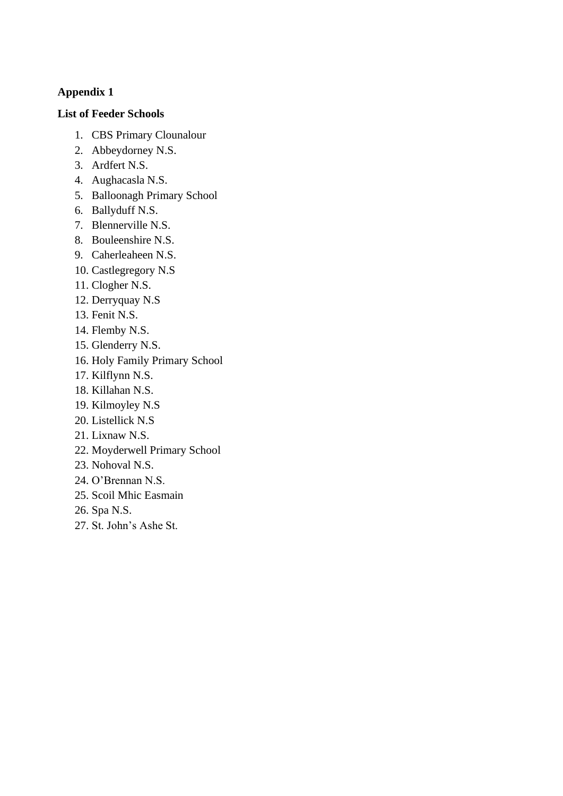# **Appendix 1**

# **List of Feeder Schools**

- 1. CBS Primary Clounalour
- 2. Abbeydorney N.S.
- 3. Ardfert N.S.
- 4. Aughacasla N.S.
- 5. Balloonagh Primary School
- 6. Ballyduff N.S.
- 7. Blennerville N.S.
- 8. Bouleenshire N.S.
- 9. Caherleaheen N.S.
- 10. Castlegregory N.S
- 11. Clogher N.S.
- 12. Derryquay N.S
- 13. Fenit N.S.
- 14. Flemby N.S.
- 15. Glenderry N.S.
- 16. Holy Family Primary School
- 17. Kilflynn N.S.
- 18. Killahan N.S.
- 19. Kilmoyley N.S
- 20. Listellick N.S
- 21. Lixnaw N.S.
- 22. Moyderwell Primary School
- 23. Nohoval N.S.
- 24. O'Brennan N.S.
- 25. Scoil Mhic Easmain
- 26. Spa N.S.
- 27. St. John's Ashe St.